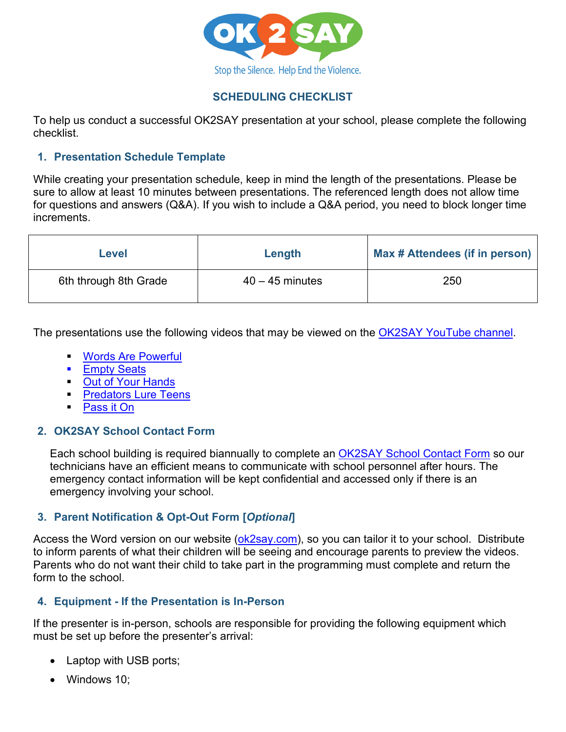

# **SCHEDULING CHECKLIST**

To help us conduct a successful OK2SAY presentation at your school, please complete the following checklist.

#### **1. Presentation Schedule Template**

While creating your presentation schedule, keep in mind the length of the presentations. Please be sure to allow at least 10 minutes between presentations. The referenced length does not allow time for questions and answers (Q&A). If you wish to include a Q&A period, you need to block longer time increments.

| Level                 | Length            | Max # Attendees (if in person) |
|-----------------------|-------------------|--------------------------------|
| 6th through 8th Grade | $40 - 45$ minutes | 250                            |

The presentations use the following videos that may be viewed on the [OK2SAY YouTube channel.](https://www.youtube.com/channel/UC2Df8DhrfQK91IUD7TNXlBQ)

- [Words Are Powerful](https://www.youtube.com/watch?v=W9KeHn8kq6o)
- **[Empty Seats](https://www.youtube.com/watch?v=fLKylhV2lKc)**
- **Cut of Your Hands**
- **[Predators Lure Teens](https://www.youtube.com/watch?v=AMmhaMm7u4U)**
- **Pass it On**

### **2. OK2SAY School Contact Form**

Each school building is required biannually to complete an [OK2SAY School Contact Form](https://www.michigan.gov/ok2say/0,5413,7-366-86420_86445-377661--,00.html) so our technicians have an efficient means to communicate with school personnel after hours. The emergency contact information will be kept confidential and accessed only if there is an emergency involving your school.

### **3. Parent Notification & Opt-Out Form [***Optional***]**

Access the Word version on our website [\(ok2say.com\)](https://www.michigan.gov/documents/ok2say/Parent_Notification__Opt-Out_Form_727156_7.docx), so you can tailor it to your school. Distribute to inform parents of what their children will be seeing and encourage parents to preview the videos. Parents who do not want their child to take part in the programming must complete and return the form to the school.

### **4. Equipment - If the Presentation is In-Person**

If the presenter is in-person, schools are responsible for providing the following equipment which must be set up before the presenter's arrival:

- Laptop with USB ports;
- Windows 10;